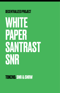## DECENTRALIZED PROJECT WHITE PAPER SANTRAST SNR

#### **TOKENS: SNR & SNRW**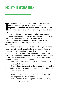#### **ECOSYSTEM "SANTRAST"**

The<br>
whic<br>
cryp<br>
as m<br>
project. he ecosystem of the project is built on our multiplier, which includes a system of interaction between cryptography and the real sector of the economy, as well as making a profit for the followers and participants of the

In previous years, cryptography has gone through many transformations and with the advent of DeFi protocols, solving our problems has become much easier. in fact, our idea that requires the development of many tools is transferred to the DeFi technology and will be spread in this area.

The basis of the idea is that the entire system of the crypto industry is self-contained and has excess liquidity. In fact, what is happening is caused by the uncontrollable growth of bitcoin, as well as its systematic ups and downs associated with the computing power for its production and maintenance of the network itself. In turn, the rest of the altcoins follow its market movement.

The scheme of interaction with the real sector of the economy is as follows:

The business community today is faced with a number of difficulties in the development of their business, this is due to a number of reasons.

- 1. High competition and lack of working capital for the development of your business
- 2. Tax legislation, excessive pressure from regulatory authorities, high tax burden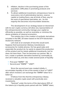- 3. Inflation, decline in the purchasing power of the population. Difficulties in promoting products and services
- 4. To attract additional investment, entrepreneurs have to overcome a lot of administrative barriers, reserve capital on trading floors, pay all kinds of fees, pay for the work of specialized specialists, etc., for the majority this becomes insurmountable obstacles.

The development of our strategy based on blockchain with its own crypto currency will allow any representative of the entrepreneurial community manage your capital as efficiently as possible, as well as neutralize or minimize the above problems of classical economics.

The solution lies in the creation of synthetic derivatives included in the ERC 20 token based on the ETH blockchain Avalanche network.

Let's look at an example of how this would work. Suppose that businessman Aleksey manufactures accessories for mobile phones. He has good sales and especially the product (x), he wants to expand the production of this product and he needs additional investments, but he does not have them. Then he becomes our partner. We, in turn, create a synthetic derivative backed by commodity (x) and call it token (x), and also create several pools of liquidity:

 $-$  First pool "SNRW"  $*(X)$ 

- Second pool "SNRW" \* "USDT".

Since the second pool was created initially, it accumulates liquidity of one of the assets in favor of "USDT" after which investors can exchange the "SNRW" token for a token (x)

It follows from this that the entrepreneur Alexey received a valuable crypto asset with practically zero investments.

"Santrast" under the terms of the deal places 50% of the tokens (x) in liquidity pools paired with the "SNRW" token,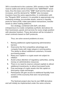30% is transferred to the customer, 20% remains in the "SNR" reserve wallet and will be included in the "SANTRAST" asset base, thus the base cost of the "SNR" itself and the token (x) increases, and the demand for "SNRW" also increases Investors have the same opportunities. In combination with the "Pangolin DEX" protocol, it is possible to approximate any marketing strategy, accumulate assets, reserve in liquidity pools for extra profit, make speculative transactions, transfer assets to other trading platforms.

Our strategy, combined with DeFi, will allow entrepreneurs to create completely synthetic derivatives for their businesses, goods and services for every single position with absolute freedom. These derivatives will be included in smart contracts based on DeFi protocols.

Thus, we solve several problems at once.:

- 1. Raising additional capital bypassing administrative barriers
- 2. Overcome the first competitive advantage and compete freely with major players in pricing policy. The ability to attract additional customers, increase purchasing power
- 3. Keep your capital in a crypto asset not subject to inflation
- 4. Avoid undue attention of regulatory authorities, saving money on administrative resources
- 5. There is no need to reserve colossal capitals to attract additional investments, to attract borrowed funds
- 6. Free exchange of crypto assets into fiat capital on third-party crypto exchanges
- 7. Participants will gain access to additional liquidity from sectors of the economy that were not previously available.

The Santrast project also has its own SNR derivative and will initially be implemented under the same scheme.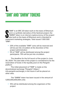## **1. "SNR" AND "SNRW" TOKENS**

"SNR" is an ERC 20 token built on the basis of Ether<br>and is a synthetic derivative of the Santrast project,<br>"SNRW" token is an internal cryptocurrency of the pi<br>also built on the basis of Ethereum and is intended t<br>impleme "SNR" is an ERC 20 token built on the basis of Ethereum and is a synthetic derivative of the Santrast project, the "SNRW" token is an internal cryptocurrency of the project also built on the basis of Ethereum and is intended to "SNR":

- 20% of the available "SNR" coins will be reserved and will be put into circulation at the discretion of the project administration
- 5% of "SNR" will be distributed among the project participants. 75% will be put into circulation.

The deadline for the full launch of the project is June 30, 2024. The start date of the project is considered to be the reservation of funds in the liquidity pool on the Pangolin platform

The initial placement of "SNR" is made on the decentralized exchange "Pangolin" (https:// info.pangolin.exchange), in the future it will be placed on other sites.

The "SNRW" token has been issued in the amount of 1,000,000,000,000 units:

 $-10\%$  will be distributed among the organizers of the project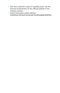- The rest is placed in parts in liquidity pools, see the amount of placement on the official website in the releases section.
- Asset reservation wallet address 0x41D0ae702C8aF2e52ea8c7b29ff3cB660151EFBa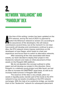#### **2. NETWORK "AVALANCHE" AND "PANGOLIN" DEX**

t the time of this writing, London has been updated on the ETH network, and by the end of 2021 it is planned to switch the Ethereum network to version 2.0, according the assurances of the developers, this will reduce commi t the time of this writing, London has been updated on the ETH network, and by the end of 2021 it is planned to switch the Ethereum network to version 2.0, according to the assurances of the developers, this will reduce how events will develop and commissions continue to grow ... Also, the ETH network miners impose restrictions on the developers of new Dapps, which leads to a bad user experience and forces them to switch to alternative networks.

After assessing all the risks associated with these events, our team decided to deploy their project in the Avalanche network and make an initial placement of their assets on the Pangolin DEX platform.

We do not abandon the concept outlined in white paper and will develop our project in this direction. Since Pangolin is a relatively young project and little liquid, we had an idea to increase the SANTRAST asset base, as well as to increase trade turnover in Pangolin DEX itself.

The essence of the idea is very simple, place our assets in liquidity pools, transfer part of the funds to the ETH network to buy out assets circulating on the ETH network exchanges. With the help of an avalanche bridge, we transfer them to the "Avalanche" network for subsequent placement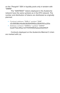on the "Pangolin" DEX in liquidity pools only in tandem with "SNRW".

The "SANTRAST" tokens deployed in the Avalanche network have the same symbols as in the ETH network. The number and distribution of tokens are distributed as originally planned:

- Contract address "SNR.e" symbol "SNR" x0c56938dc4be6fc6b5641445be21644797ce251a
- Address contract "SNRW.e" symbol "SNRW" 0xe677bdc4f5ac7ef7701f4199f25abad34d41fd7f

Contracts deployed on the Avalanche Mainnet C-chain are marked with (.e).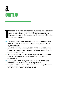## **3. OUR TEAM**

- $\frac{y}{c}$ he team of our project consists of specialists with many years of experience in the industries required for its development, as all the creators of the project wished to remain anonymous.
- The head, developer and mastermind of "Santrast" has over 10 years of investment experience, a specialist in crypto projects.
- Leading financial analyst, expert in the development of investment strategies, a successful trader, more than 10 years of experience.
- Marketer, specialist in the field of promoting goods and services, entrepreneur with more than 20 years of experience.
- IT specialist, web designer, CRM systems developer, entrepreneur, over 20 years of experience.
- Project investor, successful entrepreneur, large business owner, over 20 years of experience.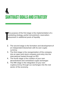## **4. SANTRAST GOALS AND STRATEGY**

T he purpose of the first stage is the implementation of a marketing strategy, partial reinvestment, reservationplacement in additional pools of liquidity

- 2. The second stage is the formation and development of an independent blockchain with its own crypto currency
- 3. The third stage is the reorganization of the company into an open joint stock company and entry into the international market through an IPO
- 4. The fourth stage is the creation of your own decentralized and centralized crypto exchanges
- 5. The fifth stage is the integration of your own cryptocurrency through our exchanges into the real sector of the economy.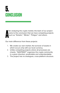## **5. CONCLUSION**

A fter analyzing the crypto market, the team of our project came to the conclusion that we have competing projects such as "Sintetix", "Minter", "Poligon" and others.

Our main difference from these projects:

- 1. We create our own market, the turnover of assets in which occurs only with our local currency.
- 2. Unlike competing projects where all processes are chaotic, "SANTRAST" organizes the crypto community in a given direction, predictable and understandable.
- 3. The project has no analogues, cross-platform structure.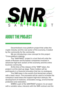# *SNR* S A N T R A S T

#### **ABOUT THE PROJECT**

Decentralized cross-platform project that unites the crypto industry and the real sector of the economy. Created by the community for the community.

We are introducing a new concept for this project "Cross-platform staking»

The "SANTRAST" project is a tool that will unite the assets of Russian and European companies involved in advanced high-tech sectors of the economy and the entire business community.

At the time of the release of the "SNR" token, the project is at the start-up stage. Token holders will be participants in a financial innovation that has no analogues.

The SNR token is the world's first blockchain project with a basic return. The proceeds will be used to increase the company's asset base and support high-tech startups, the development of medicine, renewable energy, environmental protection and restoration.

SNRW is part of the SANTRAST project, it is an asset with a variable value, interacts with the SNR contract and the